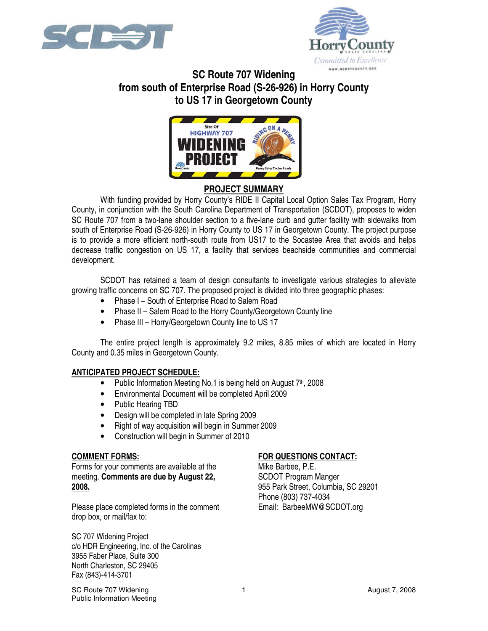



# **SC Route 707 Widening from south of Enterprise Road (S-26-926) in Horry County to US 17 in Georgetown County**



## **PROJECT SUMMARY**

With funding provided by Horry County's RIDE II Capital Local Option Sales Tax Program, Horry County, in conjunction with the South Carolina Department of Transportation (SCDOT), proposes to widen SC Route 707 from a two-lane shoulder section to a five-lane curb and gutter facility with sidewalks from south of Enterprise Road (S-26-926) in Horry County to US 17 in Georgetown County. The project purpose is to provide a more efficient north-south route from US17 to the Socastee Area that avoids and helps decrease traffic congestion on US 17, a facility that services beachside communities and commercial development.

SCDOT has retained a team of design consultants to investigate various strategies to alleviate growing traffic concerns on SC 707. The proposed project is divided into three geographic phases:

- Phase I South of Enterprise Road to Salem Road
- Phase II Salem Road to the Horry County/Georgetown County line
- Phase III Horry/Georgetown County line to US 17

The entire project length is approximately 9.2 miles, 8.85 miles of which are located in Horry County and 0.35 miles in Georgetown County.

#### **ANTICIPATED PROJECT SCHEDULE:**

- Public Information Meeting No.1 is being held on August 7<sup>th</sup>, 2008
- Environmental Document will be completed April 2009
- Public Hearing TBD
- Design will be completed in late Spring 2009
- Right of way acquisition will begin in Summer 2009
- Construction will begin in Summer of 2010

#### **COMMENT FORMS:**

Forms for your comments are available at the meeting. **Comments are due by August 22, 2008.**

Please place completed forms in the comment drop box, or mail/fax to:

SC 707 Widening Project c/o HDR Engineering, Inc. of the Carolinas 3955 Faber Place, Suite 300 North Charleston, SC 29405 Fax (843)-414-3701

### **FOR QUESTIONS CONTACT:**

Mike Barbee, P.E. SCDOT Program Manger 955 Park Street, Columbia, SC 29201 Phone (803) 737-4034 Email: BarbeeMW@SCDOT.org